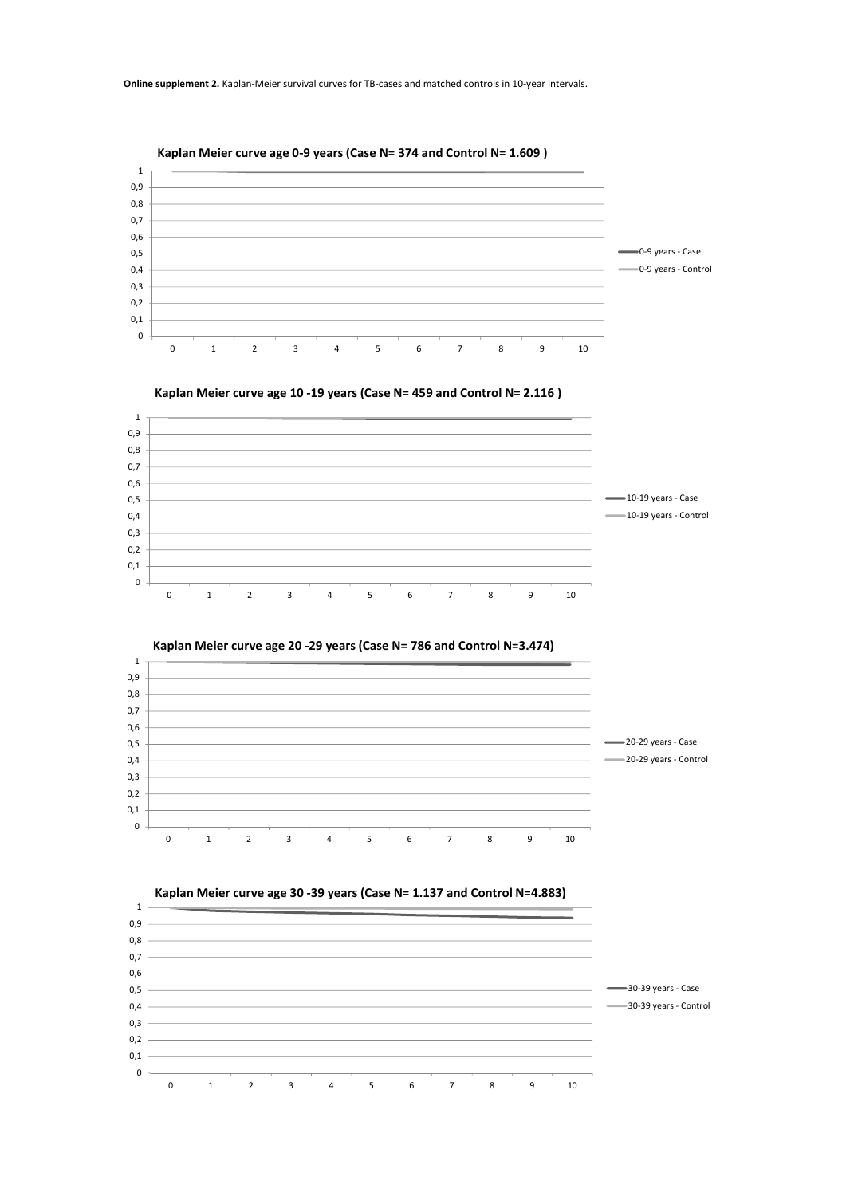











Kaplan Meier curve age 30 -39 years (Case N= 1.137 and Control N=4.883)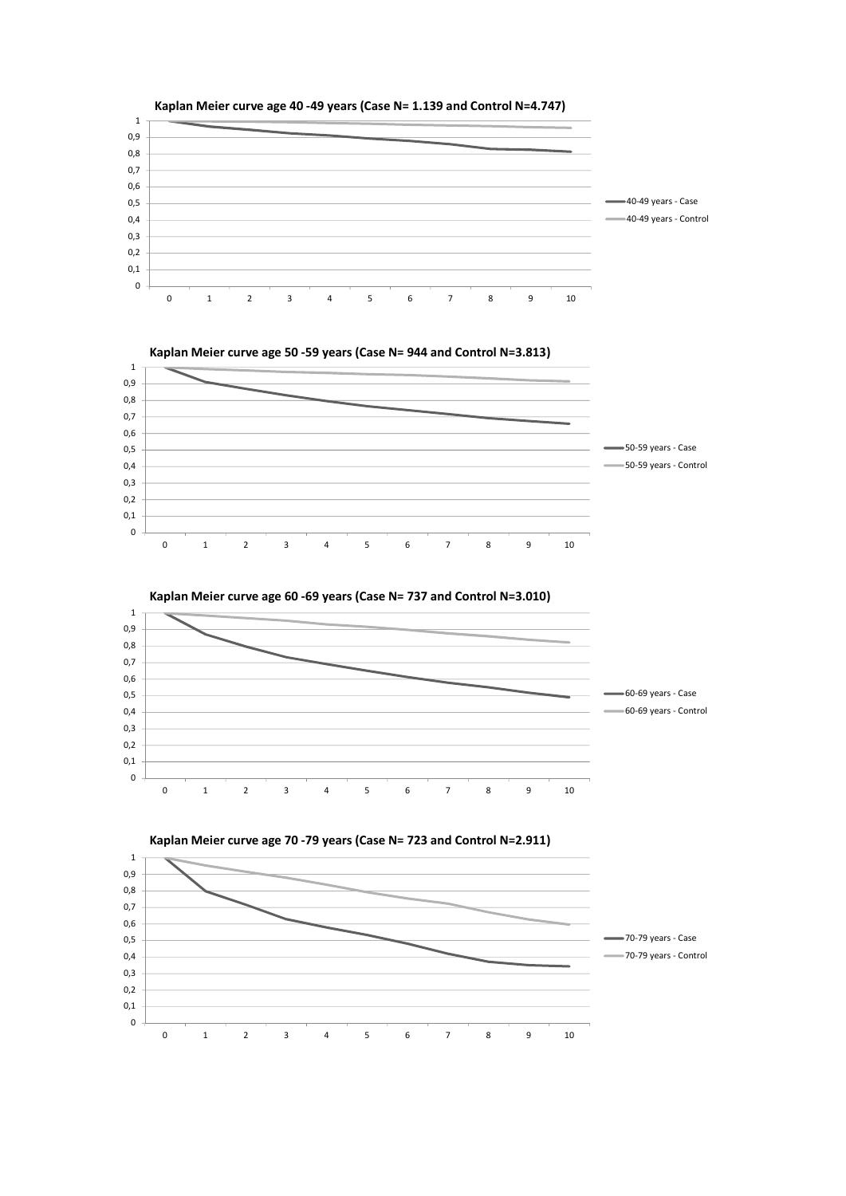